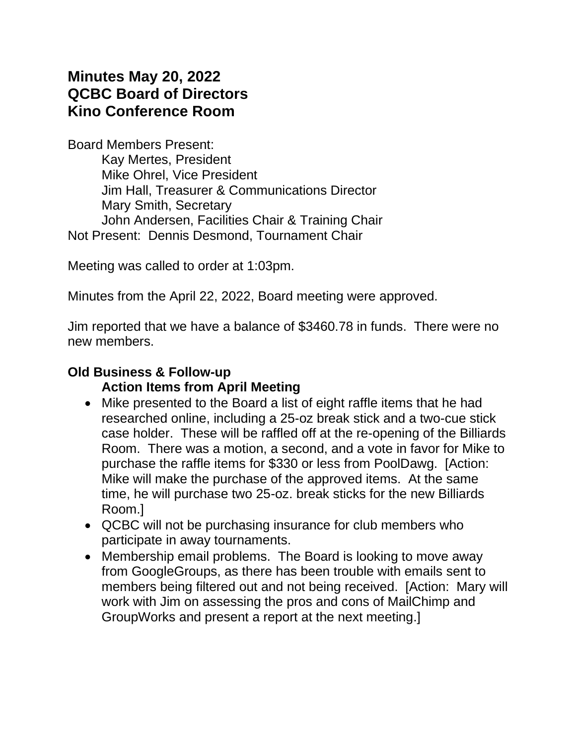# **Minutes May 20, 2022 QCBC Board of Directors Kino Conference Room**

Board Members Present: Kay Mertes, President Mike Ohrel, Vice President Jim Hall, Treasurer & Communications Director Mary Smith, Secretary John Andersen, Facilities Chair & Training Chair Not Present: Dennis Desmond, Tournament Chair

Meeting was called to order at 1:03pm.

Minutes from the April 22, 2022, Board meeting were approved.

Jim reported that we have a balance of \$3460.78 in funds. There were no new members.

### **Old Business & Follow-up**

#### **Action Items from April Meeting**

- Mike presented to the Board a list of eight raffle items that he had researched online, including a 25-oz break stick and a two-cue stick case holder. These will be raffled off at the re-opening of the Billiards Room. There was a motion, a second, and a vote in favor for Mike to purchase the raffle items for \$330 or less from PoolDawg. [Action: Mike will make the purchase of the approved items. At the same time, he will purchase two 25-oz. break sticks for the new Billiards Room.]
- QCBC will not be purchasing insurance for club members who participate in away tournaments.
- Membership email problems. The Board is looking to move away from GoogleGroups, as there has been trouble with emails sent to members being filtered out and not being received. [Action: Mary will work with Jim on assessing the pros and cons of MailChimp and GroupWorks and present a report at the next meeting.]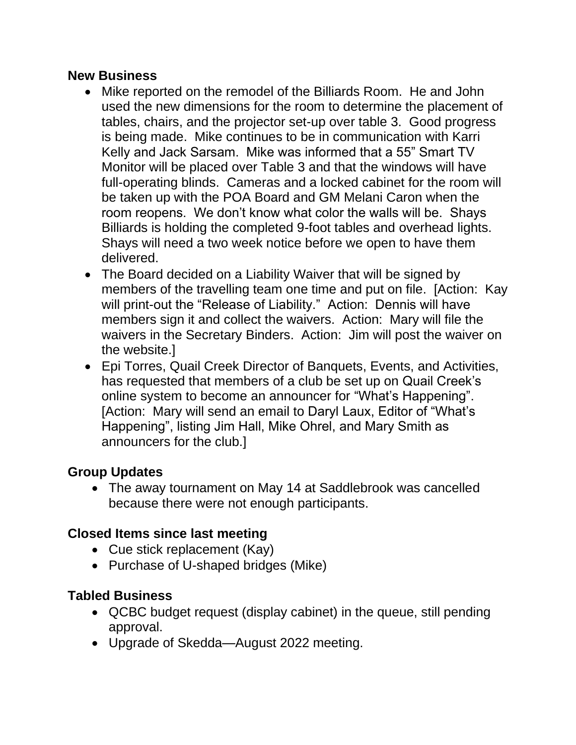#### **New Business**

- Mike reported on the remodel of the Billiards Room. He and John used the new dimensions for the room to determine the placement of tables, chairs, and the projector set-up over table 3. Good progress is being made. Mike continues to be in communication with Karri Kelly and Jack Sarsam. Mike was informed that a 55" Smart TV Monitor will be placed over Table 3 and that the windows will have full-operating blinds. Cameras and a locked cabinet for the room will be taken up with the POA Board and GM Melani Caron when the room reopens. We don't know what color the walls will be. Shays Billiards is holding the completed 9-foot tables and overhead lights. Shays will need a two week notice before we open to have them delivered.
- The Board decided on a Liability Waiver that will be signed by members of the travelling team one time and put on file. [Action: Kay will print-out the "Release of Liability." Action: Dennis will have members sign it and collect the waivers. Action: Mary will file the waivers in the Secretary Binders. Action: Jim will post the waiver on the website.]
- Epi Torres, Quail Creek Director of Banquets, Events, and Activities, has requested that members of a club be set up on Quail Creek's online system to become an announcer for "What's Happening". [Action: Mary will send an email to Daryl Laux, Editor of "What's Happening", listing Jim Hall, Mike Ohrel, and Mary Smith as announcers for the club.]

## **Group Updates**

• The away tournament on May 14 at Saddlebrook was cancelled because there were not enough participants.

## **Closed Items since last meeting**

- Cue stick replacement (Kay)
- Purchase of U-shaped bridges (Mike)

## **Tabled Business**

- QCBC budget request (display cabinet) in the queue, still pending approval.
- Upgrade of Skedda—August 2022 meeting.